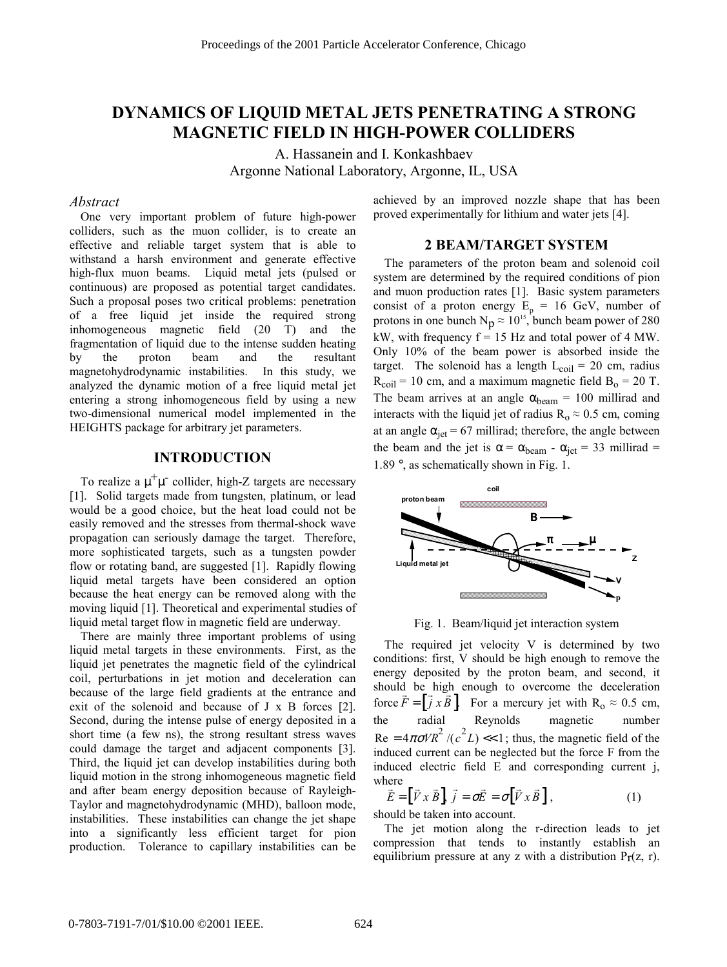# **DYNAMICS OF LIQUID METAL JETS PENETRATING A STRONG MAGNETIC FIELD IN HIGH-POWER COLLIDERS**

A. Hassanein and I. Konkashbaev Argonne National Laboratory, Argonne, IL, USA

## *Abstract*

One very important problem of future high-power colliders, such as the muon collider, is to create an effective and reliable target system that is able to withstand a harsh environment and generate effective high-flux muon beams. Liquid metal jets (pulsed or continuous) are proposed as potential target candidates. Such a proposal poses two critical problems: penetration of a free liquid jet inside the required strong inhomogeneous magnetic field (20 T) and the fragmentation of liquid due to the intense sudden heating by the proton beam and the resultant magnetohydrodynamic instabilities. In this study, we analyzed the dynamic motion of a free liquid metal jet entering a strong inhomogeneous field by using a new two-dimensional numerical model implemented in the HEIGHTS package for arbitrary jet parameters.

## **INTRODUCTION**

To realize a  $\mu^+\mu^-$  collider, high-Z targets are necessary [1]. Solid targets made from tungsten, platinum, or lead would be a good choice, but the heat load could not be easily removed and the stresses from thermal-shock wave propagation can seriously damage the target. Therefore, more sophisticated targets, such as a tungsten powder flow or rotating band, are suggested [1]. Rapidly flowing liquid metal targets have been considered an option because the heat energy can be removed along with the moving liquid [1]. Theoretical and experimental studies of liquid metal target flow in magnetic field are underway.

There are mainly three important problems of using liquid metal targets in these environments. First, as the liquid jet penetrates the magnetic field of the cylindrical coil, perturbations in jet motion and deceleration can because of the large field gradients at the entrance and exit of the solenoid and because of J x B forces [2]. Second, during the intense pulse of energy deposited in a short time (a few ns), the strong resultant stress waves could damage the target and adjacent components [3]. Third, the liquid jet can develop instabilities during both liquid motion in the strong inhomogeneous magnetic field and after beam energy deposition because of Rayleigh-<br>Taylor and magnetic hydrogenesis (MID) bellase mode Taylor and magnetohydrodynamic (MHD), balloon mode, instabilities. These instabilities can change the jet shape into a significantly less efficient target for pion production. Tolerance to capillary instabilities can be

achieved by an improved nozzle shape that has been proved experimentally for lithium and water jets [4].

#### **2 BEAM/TARGET SYSTEM**

The parameters of the proton beam and solenoid coil system are determined by the required conditions of pion and muon production rates [1]. Basic system parameters consist of a proton energy  $E_p = 16$  GeV, number of protons in one bunch  $N_p \approx 10^{15}$ , bunch beam power of 280 kW, with frequency  $f = 15$  Hz and total power of 4 MW. Only 10% of the beam power is absorbed inside the target. The solenoid has a length  $L_{\text{coil}} = 20$  cm, radius  $R_{\text{coil}}$  = 10 cm, and a maximum magnetic field  $B_0$  = 20 T. The beam arrives at an angle  $\alpha_{\text{beam}} = 100$  millirad and interacts with the liquid jet of radius  $R_0 \approx 0.5$  cm, coming at an angle  $\alpha_{jet} = 67$  millirad; therefore, the angle between the beam and the jet is  $\alpha = \alpha_{\text{beam}} - \alpha_{\text{jet}} = 33 \text{ millirad} =$ 1.89 °, as schematically shown in Fig. 1.



Fig. 1. Beam/liquid jet interaction system

The required jet velocity V is determined by two conditions: first, V should be high enough to remove the energy deposited by the proton beam, and second, it should be high enough to overcome the deceleration force  $\vec{F} = [\vec{j} \times \vec{B}]$ . For a mercury jet with R<sub>o</sub> ≈ 0.5 cm, the radial Reynolds magnetic number  $\text{Re} = 4\pi\sigma V R^2 / (c^2 L) \ll 1$ ; thus, the magnetic field of the induced current can be neglected but the force F from the induced electric field E and corresponding current j, where

$$
\vec{\tilde{E}} = [\vec{V} \times \vec{B}], \vec{j} = \sigma \vec{E} = \sigma [\vec{V} \times \vec{B}], \tag{1}
$$

should be taken into account.

The jet motion along the r-direction leads to jet compression that tends to instantly establish an equilibrium pressure at any z with a distribution  $Pr(z, r)$ .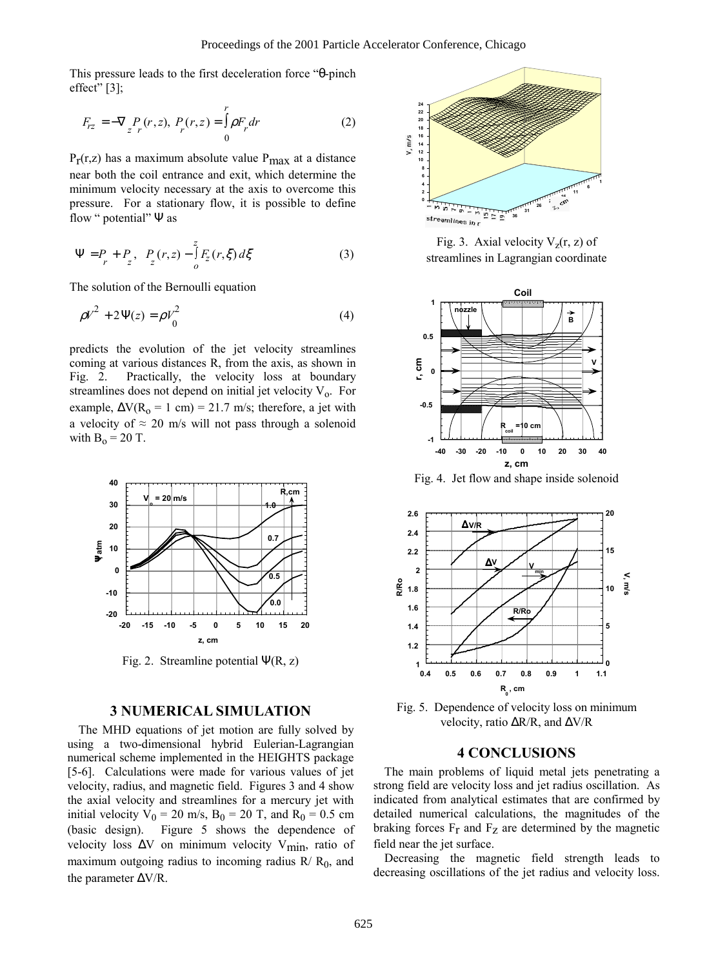This pressure leads to the first deceleration force "θ-pinch effect" $[3]$ ;

$$
F_{rz} = -\nabla \, \underset{z}{P} \, (r, z), \, P_r(r, z) = \int_0^r \rho F_r dr \tag{2}
$$

 $P_T(r,z)$  has a maximum absolute value  $P_{\text{max}}$  at a distance near both the coil entrance and exit, which determine the minimum velocity necessary at the axis to overcome this pressure. For a stationary flow, it is possible to define flow " potential" Ψ as

$$
\Psi = P_r + P_z, \ \ P_z(r, z) - \int_0^z F_z(r, \xi) d\xi \tag{3}
$$

The solution of the Bernoulli equation

$$
\rho V^2 + 2\Psi(z) = \rho V_0^2 \tag{4}
$$

predicts the evolution of the jet velocity streamlines coming at various distances R, from the axis, as shown in Fig. 2. Practically, the velocity loss at boundary streamlines does not depend on initial jet velocity  $V_0$ . For example,  $\Delta V(R_0 = 1 \text{ cm}) = 21.7 \text{ m/s}$ ; therefore, a jet with a velocity of  $\approx$  20 m/s will not pass through a solenoid with  $B_0 = 20$  T.



Fig. 2. Streamline potential  $\Psi(R, z)$ 

## **3 NUMERICAL SIMULATION**

The MHD equations of jet motion are fully solved by using a two-dimensional hybrid Eulerian-Lagrangian numerical scheme implemented in the HEIGHTS package [5-6]. Calculations were made for various values of jet velocity, radius, and magnetic field. Figures 3 and 4 show the axial velocity and streamlines for a mercury jet with initial velocity  $V_0 = 20$  m/s,  $B_0 = 20$  T, and  $R_0 = 0.5$  cm (basic design). Figure 5 shows the dependence of velocity loss ∆V on minimum velocity Vmin, ratio of maximum outgoing radius to incoming radius  $R/R_0$ , and the parameter ∆V/R.



Fig. 3. Axial velocity  $V_z(r, z)$  of streamlines in Lagrangian coordinate



Fig. 4. Jet flow and shape inside solenoid



Fig. 5. Dependence of velocity loss on minimum velocity, ratio ∆R/R, and ∆V/R

#### **4 CONCLUSIONS**

The main problems of liquid metal jets penetrating a strong field are velocity loss and jet radius oscillation. As indicated from analytical estimates that are confirmed by detailed numerical calculations, the magnitudes of the braking forces  $F_r$  and  $F_z$  are determined by the magnetic field near the jet surface.

Decreasing the magnetic field strength leads to decreasing oscillations of the jet radius and velocity loss.